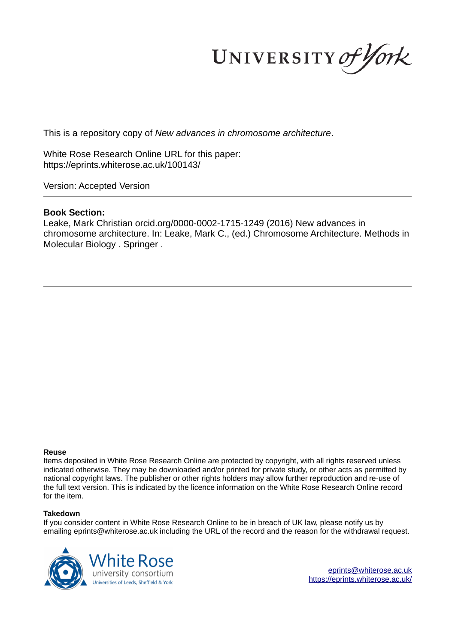UNIVERSITY of York

This is a repository copy of *New advances in chromosome architecture*.

White Rose Research Online URL for this paper: https://eprints.whiterose.ac.uk/100143/

Version: Accepted Version

## **Book Section:**

Leake, Mark Christian orcid.org/0000-0002-1715-1249 (2016) New advances in chromosome architecture. In: Leake, Mark C., (ed.) Chromosome Architecture. Methods in Molecular Biology . Springer .

#### **Reuse**

Items deposited in White Rose Research Online are protected by copyright, with all rights reserved unless indicated otherwise. They may be downloaded and/or printed for private study, or other acts as permitted by national copyright laws. The publisher or other rights holders may allow further reproduction and re-use of the full text version. This is indicated by the licence information on the White Rose Research Online record for the item.

### **Takedown**

If you consider content in White Rose Research Online to be in breach of UK law, please notify us by emailing eprints@whiterose.ac.uk including the URL of the record and the reason for the withdrawal request.



eprints@whiterose.ac.uk https://eprints.whiterose.ac.uk/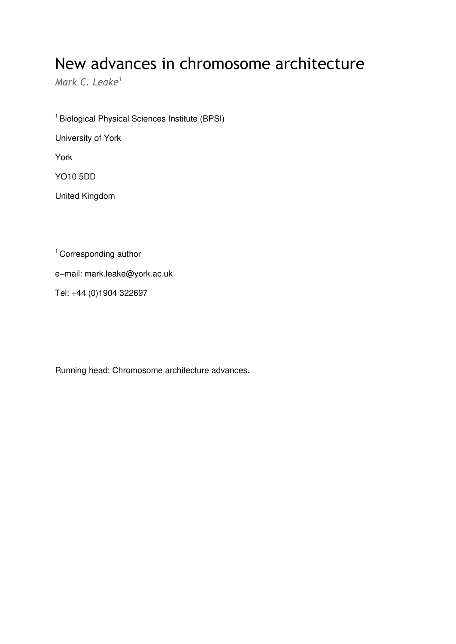# New advances in chromosome architecture

*Mark C. Leake<sup>1</sup>*

<sup>1</sup> Biological Physical Sciences Institute (BPSI) University of York York YO10 5DD United Kingdom

<sup>1</sup> Corresponding author

e–mail: mark.leake@york.ac.uk

Tel: +44 (0)1904 322697

Running head: Chromosome architecture advances*.*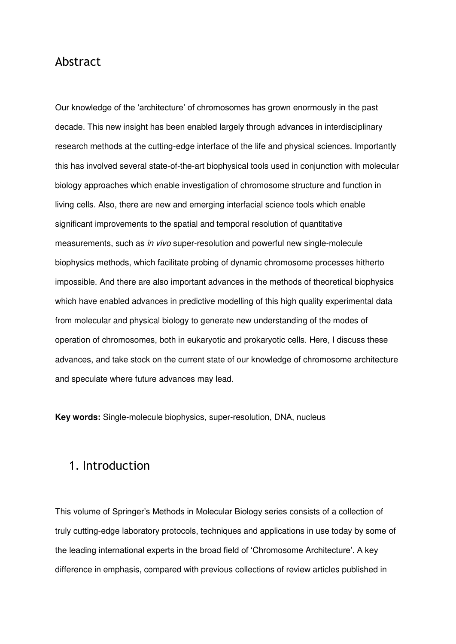## Abstract

Our knowledge of the 'architecture' of chromosomes has grown enormously in the past decade. This new insight has been enabled largely through advances in interdisciplinary research methods at the cutting-edge interface of the life and physical sciences. Importantly this has involved several state-of-the-art biophysical tools used in conjunction with molecular biology approaches which enable investigation of chromosome structure and function in living cells. Also, there are new and emerging interfacial science tools which enable significant improvements to the spatial and temporal resolution of quantitative measurements, such as *in vivo* super-resolution and powerful new single-molecule biophysics methods, which facilitate probing of dynamic chromosome processes hitherto impossible. And there are also important advances in the methods of theoretical biophysics which have enabled advances in predictive modelling of this high quality experimental data from molecular and physical biology to generate new understanding of the modes of operation of chromosomes, both in eukaryotic and prokaryotic cells. Here, I discuss these advances, and take stock on the current state of our knowledge of chromosome architecture and speculate where future advances may lead.

**Key words:** Single-molecule biophysics, super-resolution, DNA, nucleus

## 1. Introduction

This volume of Springer's Methods in Molecular Biology series consists of a collection of truly cutting-edge laboratory protocols, techniques and applications in use today by some of the leading international experts in the broad field of 'Chromosome Architecture'. A key difference in emphasis, compared with previous collections of review articles published in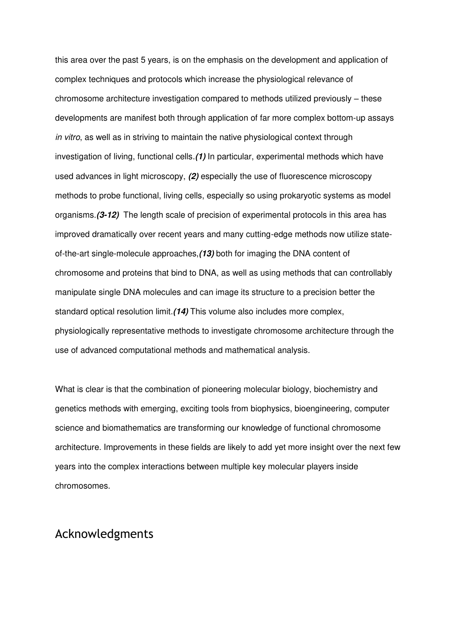this area over the past 5 years, is on the emphasis on the development and application of complex techniques and protocols which increase the physiological relevance of chromosome architecture investigation compared to methods utilized previously – these developments are manifest both through application of far more complex bottom-up assays *in vitro*, as well as in striving to maintain the native physiological context through investigation of living, functional cells.*(1)* In particular, experimental methods which have used advances in light microscopy, *(2)* especially the use of fluorescence microscopy methods to probe functional, living cells, especially so using prokaryotic systems as model organisms.*(3-12)* The length scale of precision of experimental protocols in this area has improved dramatically over recent years and many cutting-edge methods now utilize stateof-the-art single-molecule approaches,*(13)* both for imaging the DNA content of chromosome and proteins that bind to DNA, as well as using methods that can controllably manipulate single DNA molecules and can image its structure to a precision better the standard optical resolution limit.*(14)* This volume also includes more complex, physiologically representative methods to investigate chromosome architecture through the use of advanced computational methods and mathematical analysis.

What is clear is that the combination of pioneering molecular biology, biochemistry and genetics methods with emerging, exciting tools from biophysics, bioengineering, computer science and biomathematics are transforming our knowledge of functional chromosome architecture. Improvements in these fields are likely to add yet more insight over the next few years into the complex interactions between multiple key molecular players inside chromosomes.

# Acknowledgments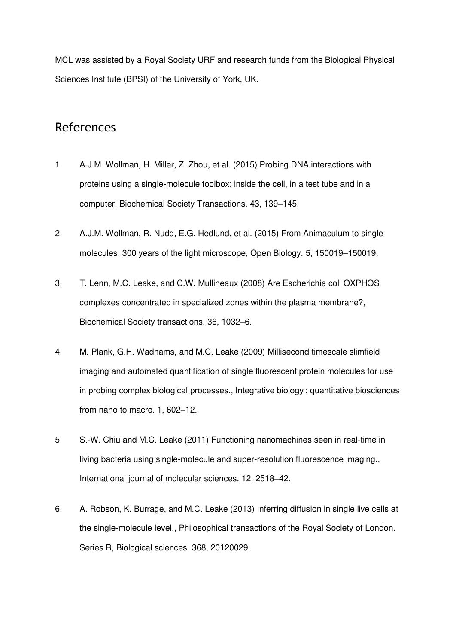MCL was assisted by a Royal Society URF and research funds from the Biological Physical Sciences Institute (BPSI) of the University of York, UK.

# References

- 1. A.J.M. Wollman, H. Miller, Z. Zhou, et al. (2015) Probing DNA interactions with proteins using a single-molecule toolbox: inside the cell, in a test tube and in a computer, Biochemical Society Transactions. 43, 139–145.
- 2. A.J.M. Wollman, R. Nudd, E.G. Hedlund, et al. (2015) From Animaculum to single molecules: 300 years of the light microscope, Open Biology. 5, 150019–150019.
- 3. T. Lenn, M.C. Leake, and C.W. Mullineaux (2008) Are Escherichia coli OXPHOS complexes concentrated in specialized zones within the plasma membrane?, Biochemical Society transactions. 36, 1032–6.
- 4. M. Plank, G.H. Wadhams, and M.C. Leake (2009) Millisecond timescale slimfield imaging and automated quantification of single fluorescent protein molecules for use in probing complex biological processes., Integrative biology : quantitative biosciences from nano to macro. 1, 602–12.
- 5. S.-W. Chiu and M.C. Leake (2011) Functioning nanomachines seen in real-time in living bacteria using single-molecule and super-resolution fluorescence imaging., International journal of molecular sciences. 12, 2518–42.
- 6. A. Robson, K. Burrage, and M.C. Leake (2013) Inferring diffusion in single live cells at the single-molecule level., Philosophical transactions of the Royal Society of London. Series B, Biological sciences. 368, 20120029.